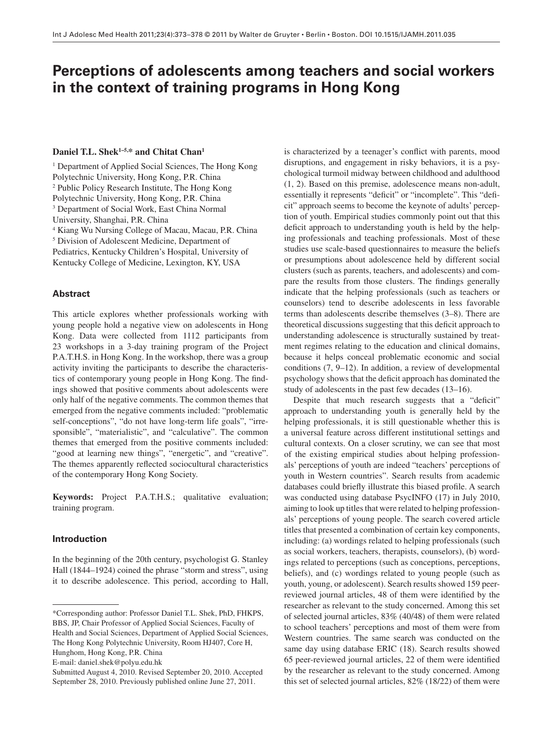# **Perceptions of adolescents among teachers and social workers in the context of training programs in Hong Kong**

# Daniel T.L. Shek<sup>1-5,\*</sup> and Chitat Chan<sup>1</sup>

<sup>1</sup> Department of Applied Social Sciences, The Hong Kong Polytechnic University, Hong Kong, P.R. China <sup>2</sup> Public Policy Research Institute, The Hong Kong Polytechnic University, Hong Kong, P.R. China 3 Department of Social Work, East China Normal University, Shanghai, P.R. China <sup>4</sup> Kiang Wu Nursing College of Macau, Macau, P.R. China <sup>5</sup> Division of Adolescent Medicine, Department of Pediatrics, Kentucky Children's Hospital, University of Kentucky College of Medicine, Lexington, KY, USA

## **Abstract**

 This article explores whether professionals working with young people hold a negative view on adolescents in Hong Kong. Data were collected from 1112 participants from 23 workshops in a 3-day training program of the Project P.A.T.H.S. in Hong Kong. In the workshop, there was a group activity inviting the participants to describe the characteristics of contemporary young people in Hong Kong. The findings showed that positive comments about adolescents were only half of the negative comments. The common themes that emerged from the negative comments included: "problematic self-conceptions", "do not have long-term life goals", "irresponsible", "materialistic", and "calculative". The common themes that emerged from the positive comments included: " good at learning new things", "energetic", and "creative". The themes apparently reflected sociocultural characteristics of the contemporary Hong Kong Society.

**Keywords:** Project P.A.T.H.S.; qualitative evaluation; training program.

# **Introduction**

 In the beginning of the 20th century, psychologist G. Stanley Hall (1844–1924) coined the phrase "storm and stress", using it to describe adolescence. This period, according to Hall,

Hunghom, Hong Kong, P.R. China

E-mail: daniel.shek@polyu.edu.hk Submitted August 4, 2010. Revised September 20, 2010. Accepted September 28, 2010. Previously published online June 27, 2011.

is characterized by a teenager's conflict with parents, mood disruptions, and engagement in risky behaviors, it is a psychological turmoil midway between childhood and adulthood (1, 2) . Based on this premise, adolescence means non-adult, essentially it represents "deficit" or "incomplete". This "deficit" approach seems to become the keynote of adults' perception of youth. Empirical studies commonly point out that this deficit approach to understanding youth is held by the helping professionals and teaching professionals. Most of these studies use scale-based questionnaires to measure the beliefs or presumptions about adolescence held by different social clusters (such as parents, teachers, and adolescents) and compare the results from those clusters. The findings generally indicate that the helping professionals (such as teachers or counselors) tend to describe adolescents in less favorable terms than adolescents describe themselves (3–8). There are theoretical discussions suggesting that this deficit approach to understanding adolescence is structurally sustained by treatment regimes relating to the education and clinical domains, because it helps conceal problematic economic and social conditions  $(7, 9-12)$ . In addition, a review of developmental psychology shows that the deficit approach has dominated the study of adolescents in the past few decades (13–16).

Despite that much research suggests that a "deficit" approach to understanding youth is generally held by the helping professionals, it is still questionable whether this is a universal feature across different institutional settings and cultural contexts. On a closer scrutiny, we can see that most of the existing empirical studies about helping professionals' perceptions of youth are indeed "teachers' perceptions of youth in Western countries". Search results from academic databases could briefly illustrate this biased profile. A search was conducted using database PsycINFO (17) in July 2010, aiming to look up titles that were related to helping professionals' perceptions of young people. The search covered article titles that presented a combination of certain key components, including: (a) wordings related to helping professionals (such as social workers, teachers, therapists, counselors), (b) wordings related to perceptions (such as conceptions, perceptions, beliefs), and (c) wordings related to young people (such as youth, young, or adolescent). Search results showed 159 peerreviewed journal articles, 48 of them were identified by the researcher as relevant to the study concerned. Among this set of selected journal articles, 83% (40/48) of them were related to school teachers' perceptions and most of them were from Western countries. The same search was conducted on the same day using database ERIC (18). Search results showed 65 peer-reviewed journal articles, 22 of them were identified by the researcher as relevant to the study concerned. Among this set of selected journal articles,  $82\%$  (18/22) of them were

 <sup>\*</sup>Corresponding author: Professor Daniel T.L. Shek, PhD, FHKPS, BBS, JP, Chair Professor of Applied Social Sciences, Faculty of Health and Social Sciences, Department of Applied Social Sciences, The Hong Kong Polytechnic University, Room HJ407, Core H,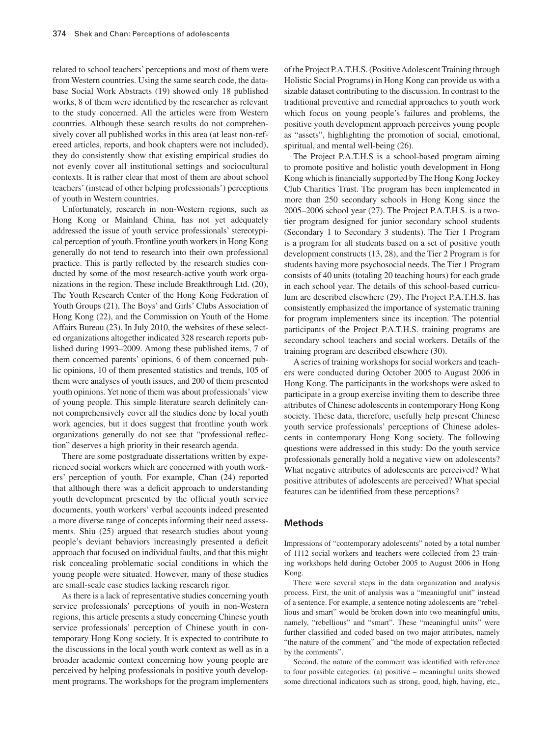related to school teachers' perceptions and most of them were from Western countries. Using the same search code, the database Social Work Abstracts (19) showed only 18 published works, 8 of them were identified by the researcher as relevant to the study concerned. All the articles were from Western countries. Although these search results do not comprehensively cover all published works in this area (at least non-refereed articles, reports, and book chapters were not included), they do consistently show that existing empirical studies do not evenly cover all institutional settings and sociocultural contexts. It is rather clear that most of them are about school teachers' (instead of other helping professionals') perceptions of youth in Western countries.

 Unfortunately, research in non-Western regions, such as Hong Kong or Mainland China, has not yet adequately addressed the issue of youth service professionals' stereotypical perception of youth. Frontline youth workers in Hong Kong generally do not tend to research into their own professional practice. This is partly reflected by the research studies conducted by some of the most research-active youth work organizations in the region. These include Breakthrough Ltd. (20), The Youth Research Center of the Hong Kong Federation of Youth Groups (21), The Boys' and Girls' Clubs Association of Hong Kong (22), and the Commission on Youth of the Home Affairs Bureau (23). In July 2010, the websites of these selected organizations altogether indicated 328 research reports published during 1993-2009. Among these published items, 7 of them concerned parents' opinions, 6 of them concerned public opinions, 10 of them presented statistics and trends, 105 of them were analyses of youth issues, and 200 of them presented youth opinions. Yet none of them was about professionals' view of young people. This simple literature search definitely cannot comprehensively cover all the studies done by local youth work agencies, but it does suggest that frontline youth work organizations generally do not see that "professional reflection" deserves a high priority in their research agenda.

 There are some postgraduate dissertations written by experienced social workers which are concerned with youth workers' perception of youth. For example, Chan (24) reported that although there was a deficit approach to understanding youth development presented by the official youth service documents, youth workers' verbal accounts indeed presented a more diverse range of concepts informing their need assessments. Shiu (25) argued that research studies about young people's deviant behaviors increasingly presented a deficit approach that focused on individual faults, and that this might risk concealing problematic social conditions in which the young people were situated. However, many of these studies are small-scale case studies lacking research rigor.

 As there is a lack of representative studies concerning youth service professionals' perceptions of youth in non-Western regions, this article presents a study concerning Chinese youth service professionals' perception of Chinese youth in contemporary Hong Kong society. It is expected to contribute to the discussions in the local youth work context as well as in a broader academic context concerning how young people are perceived by helping professionals in positive youth development programs. The workshops for the program implementers

of the Project P.A.T.H.S. (Positive Adolescent Training through Holistic Social Programs) in Hong Kong can provide us with a sizable dataset contributing to the discussion. In contrast to the traditional preventive and remedial approaches to youth work which focus on young people's failures and problems, the positive youth development approach perceives young people as "assets", highlighting the promotion of social, emotional, spiritual, and mental well-being (26).

 The Project P.A.T.H.S is a school-based program aiming to promote positive and holistic youth development in Hong Kong which is financially supported by The Hong Kong Jockey Club Charities Trust. The program has been implemented in more than 250 secondary schools in Hong Kong since the 2005 – 2006 school year (27) . The Project P.A.T.H.S. is a twotier program designed for junior secondary school students (Secondary 1 to Secondary 3 students). The Tier 1 Program is a program for all students based on a set of positive youth development constructs (13, 28) , and the Tier 2 Program is for students having more psychosocial needs. The Tier 1 Program consists of 40 units (totaling 20 teaching hours) for each grade in each school year. The details of this school-based curriculum are described elsewhere (29) . The Project P.A.T.H.S. has consistently emphasized the importance of systematic training for program implementers since its inception. The potential participants of the Project P.A.T.H.S. training programs are secondary school teachers and social workers. Details of the training program are described elsewhere (30) .

 A series of training workshops for social workers and teachers were conducted during October 2005 to August 2006 in Hong Kong. The participants in the workshops were asked to participate in a group exercise inviting them to describe three attributes of Chinese adolescents in contemporary Hong Kong society. These data, therefore, usefully help present Chinese youth service professionals' perceptions of Chinese adolescents in contemporary Hong Kong society. The following questions were addressed in this study: Do the youth service professionals generally hold a negative view on adolescents ? What negative attributes of adolescents are perceived? What positive attributes of adolescents are perceived? What special features can be identified from these perceptions?

#### **Methods**

Impressions of "contemporary adolescents" noted by a total number of 1112 social workers and teachers were collected from 23 training workshops held during October 2005 to August 2006 in Hong Kong.

 There were several steps in the data organization and analysis process. First, the unit of analysis was a "meaningful unit" instead of a sentence. For example, a sentence noting adolescents are " rebellious and smart" would be broken down into two meaningful units, namely, "rebellious" and "smart". These "meaningful units" were further classified and coded based on two major attributes, namely "the nature of the comment" and "the mode of expectation reflected by the comments".

Second, the nature of the comment was identified with reference to four possible categories: (a) positive – meaningful units showed some directional indicators such as strong, good, high, having, etc.,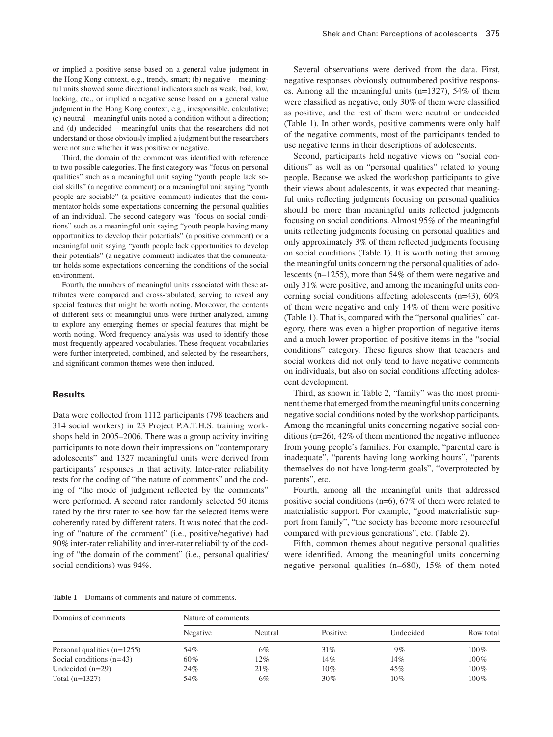or implied a positive sense based on a general value judgment in the Hong Kong context, e.g., trendy, smart; (b) negative – meaningful units showed some directional indicators such as weak, bad, low, lacking, etc., or implied a negative sense based on a general value judgment in the Hong Kong context, e.g., irresponsible, calculative; (c) neutral – meaningful units noted a condition without a direction; and (d) undecided – meaningful units that the researchers did not understand or those obviously implied a judgment but the researchers were not sure whether it was positive or negative.

Third, the domain of the comment was identified with reference to two possible categories. The first category was "focus on personal qualities" such as a meaningful unit saying "youth people lack social skills" (a negative comment) or a meaningful unit saying "youth people are sociable" (a positive comment) indicates that the commentator holds some expectations concerning the personal qualities of an individual. The second category was "focus on social conditions" such as a meaningful unit saying "youth people having many opportunities to develop their potentials" (a positive comment) or a meaningful unit saying "youth people lack opportunities to develop their potentials" (a negative comment) indicates that the commentator holds some expectations concerning the conditions of the social environment.

 Fourth, the numbers of meaningful units associated with these attributes were compared and cross-tabulated, serving to reveal any special features that might be worth noting. Moreover, the contents of different sets of meaningful units were further analyzed, aiming to explore any emerging themes or special features that might be worth noting. Word frequency analysis was used to identify those most frequently appeared vocabularies. These frequent vocabularies were further interpreted, combined, and selected by the researchers, and significant common themes were then induced.

# **Results**

 Data were collected from 1112 participants (798 teachers and 314 social workers) in 23 Project P.A.T.H.S. training workshops held in 2005–2006. There was a group activity inviting participants to note down their impressions on "contemporary adolescents" and 1327 meaningful units were derived from participants' responses in that activity. Inter-rater reliability tests for the coding of "the nature of comments" and the coding of "the mode of judgment reflected by the comments" were performed. A second rater randomly selected 50 items rated by the first rater to see how far the selected items were coherently rated by different raters. It was noted that the coding of "nature of the comment" (i.e., positive/negative) had 90% inter-rater reliability and inter-rater reliability of the coding of "the domain of the comment" (i.e., personal qualities/ social conditions) was 94%.

 Several observations were derived from the data. First, negative responses obviously outnumbered positive responses. Among all the meaningful units ( $n=1327$ ), 54% of them were classified as negative, only 30% of them were classified as positive, and the rest of them were neutral or undecided (Table 1). In other words, positive comments were only half of the negative comments, most of the participants tended to use negative terms in their descriptions of adolescents.

Second, participants held negative views on "social conditions" as well as on "personal qualities" related to young people. Because we asked the workshop participants to give their views about adolescents, it was expected that meaningful units reflecting judgments focusing on personal qualities should be more than meaningful units reflected judgments focusing on social conditions. Almost 95% of the meaningful units reflecting judgments focusing on personal qualities and only approximately  $3\%$  of them reflected judgments focusing on social conditions (Table 1). It is worth noting that among the meaningful units concerning the personal qualities of adolescents ( $n = 1255$ ), more than 54% of them were negative and only 31 % were positive, and among the meaningful units concerning social conditions affecting adolescents (n=43),  $60\%$ of them were negative and only  $14\%$  of them were positive (Table 1). That is, compared with the "personal qualities" category, there was even a higher proportion of negative items and a much lower proportion of positive items in the "social conditions" category. These figures show that teachers and social workers did not only tend to have negative comments on individuals, but also on social conditions affecting adolescent development.

Third, as shown in Table 2, "family" was the most prominent theme that emerged from the meaningful units concerning negative social conditions noted by the workshop participants. Among the meaningful units concerning negative social conditions ( $n=26$ ), 42% of them mentioned the negative influence from young people's families. For example, "parental care is inadequate", "parents having long working hours", "parents themselves do not have long-term goals", "overprotected by parents", etc.

 Fourth, among all the meaningful units that addressed positive social conditions ( $n=6$ ), 67% of them were related to materialistic support. For example, "good materialistic support from family", "the society has become more resourceful compared with previous generations", etc. (Table 2).

 Fifth, common themes about negative personal qualities were identified. Among the meaningful units concerning negative personal qualities ( $n=680$ ), 15% of them noted

|  | <b>Table 1</b> Domains of comments and nature of comments. |  |  |  |  |
|--|------------------------------------------------------------|--|--|--|--|
|--|------------------------------------------------------------|--|--|--|--|

| Domains of comments           | Nature of comments |         |          |           |           |  |  |  |
|-------------------------------|--------------------|---------|----------|-----------|-----------|--|--|--|
|                               | Negative           | Neutral | Positive | Undecided | Row total |  |  |  |
| Personal qualities $(n=1255)$ | 54%                | 6%      | $31\%$   | 9%        | $100\%$   |  |  |  |
| Social conditions $(n=43)$    | 60%                | $12\%$  | $14\%$   | 14%       | $100\%$   |  |  |  |
| Undecided $(n=29)$            | 24%                | 21\%    | $10\%$   | 45%       | $100\%$   |  |  |  |
| Total $(n=1327)$              | 54%                | 6%      | $30\%$   | $10\%$    | $100\%$   |  |  |  |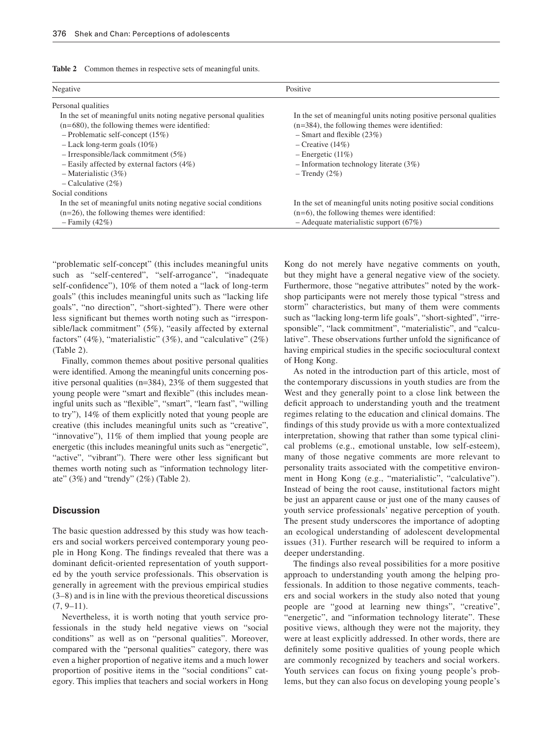|  |  |  |  |  |  |  | <b>Table 2</b> Common themes in respective sets of meaningful units. |  |
|--|--|--|--|--|--|--|----------------------------------------------------------------------|--|
|--|--|--|--|--|--|--|----------------------------------------------------------------------|--|

| Negative                                                          | Positive                                                          |
|-------------------------------------------------------------------|-------------------------------------------------------------------|
| Personal qualities                                                |                                                                   |
| In the set of meaningful units noting negative personal qualities | In the set of meaningful units noting positive personal qualities |
| $(n=680)$ , the following themes were identified:                 | $(n=384)$ , the following themes were identified:                 |
| $-$ Problematic self-concept (15%)                                | $-$ Smart and flexible (23%)                                      |
| $-$ Lack long-term goals (10%)                                    | $-$ Creative (14\%)                                               |
| $-$ Irresponsible/lack commitment (5%)                            | $-$ Energetic (11%)                                               |
| $-$ Easily affected by external factors (4%)                      | $-$ Information technology literate (3%)                          |
| $-$ Materialistic (3%)                                            | $-$ Trendy (2\%)                                                  |
| $-$ Calculative (2\%)                                             |                                                                   |
| Social conditions                                                 |                                                                   |
| In the set of meaningful units noting negative social conditions  | In the set of meaningful units noting positive social conditions  |
| $(n=26)$ , the following themes were identified:                  | $(n=6)$ , the following themes were identified:                   |
| $-$ Family (42\%)                                                 | $-$ Adequate materialistic support (67%)                          |

" problematic self-concept" (this includes meaningful units such as "self-centered", "self-arrogance", "inadequate self-confidence"), 10% of them noted a "lack of long-term goals" (this includes meaningful units such as "lacking life goals", "no direction", "short-sighted"). There were other less significant but themes worth noting such as "irresponsible/lack commitment"  $(5\%)$ , "easily affected by external factors"  $(4\%)$ , "materialistic"  $(3\%)$ , and "calculative"  $(2\%)$  $(Table 2)$ .

 Finally, common themes about positive personal qualities were identified. Among the meaningful units concerning positive personal qualities ( $n=384$ ), 23% of them suggested that young people were "smart and flexible" (this includes meaningful units such as "flexible", "smart", "learn fast", "willing to try"), 14% of them explicitly noted that young people are creative (this includes meaningful units such as "creative", " innovative"),  $11\%$  of them implied that young people are energetic (this includes meaningful units such as "energetic", "active", "vibrant"). There were other less significant but themes worth noting such as "information technology literate"  $(3\%)$  and "trendy"  $(2\%)$  (Table 2).

## **Discussion**

 The basic question addressed by this study was how teachers and social workers perceived contemporary young people in Hong Kong. The findings revealed that there was a dominant deficit-oriented representation of youth supported by the youth service professionals. This observation is generally in agreement with the previous empirical studies  $(3-8)$  and is in line with the previous theoretical discussions  $(7, 9 - 11)$ .

 Nevertheless, it is worth noting that youth service professionals in the study held negative views on "social conditions" as well as on "personal qualities". Moreover, compared with the "personal qualities" category, there was even a higher proportion of negative items and a much lower proportion of positive items in the "social conditions" category. This implies that teachers and social workers in Hong

Kong do not merely have negative comments on youth, but they might have a general negative view of the society. Furthermore, those "negative attributes" noted by the workshop participants were not merely those typical "stress and storm" characteristics, but many of them were comments such as "lacking long-term life goals", "short-sighted", "irresponsible", "lack commitment", "materialistic", and "calculative". These observations further unfold the significance of having empirical studies in the specific sociocultural context of Hong Kong.

 As noted in the introduction part of this article, most of the contemporary discussions in youth studies are from the West and they generally point to a close link between the deficit approach to understanding youth and the treatment regimes relating to the education and clinical domains. The findings of this study provide us with a more contextualized interpretation, showing that rather than some typical clinical problems (e.g., emotional unstable, low self-esteem), many of those negative comments are more relevant to personality traits associated with the competitive environment in Hong Kong (e.g., "materialistic", "calculative"). Instead of being the root cause, institutional factors might be just an apparent cause or just one of the many causes of youth service professionals' negative perception of youth. The present study underscores the importance of adopting an ecological understanding of adolescent developmental issues (31) . Further research will be required to inform a deeper understanding.

The findings also reveal possibilities for a more positive approach to understanding youth among the helping professionals. In addition to those negative comments, teachers and social workers in the study also noted that young people are "good at learning new things", "creative", " energetic", and "information technology literate". These positive views, although they were not the majority, they were at least explicitly addressed. In other words, there are definitely some positive qualities of young people which are commonly recognized by teachers and social workers. Youth services can focus on fixing young people's problems, but they can also focus on developing young people's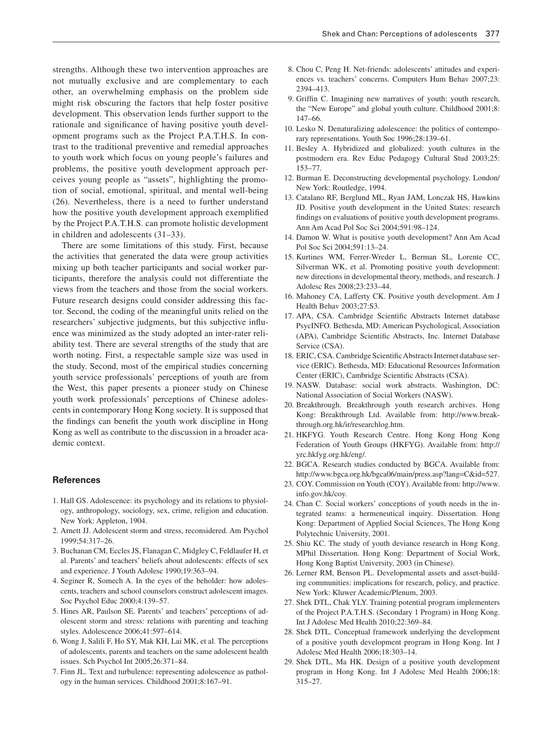strengths. Although these two intervention approaches are not mutually exclusive and are complementary to each other, an overwhelming emphasis on the problem side might risk obscuring the factors that help foster positive development. This observation lends further support to the rationale and significance of having positive youth development programs such as the Project P.A.T.H.S. In contrast to the traditional preventive and remedial approaches to youth work which focus on young people's failures and problems, the positive youth development approach perceives young people as "assets", highlighting the promotion of social, emotional, spiritual, and mental well-being (26) . Nevertheless, there is a need to further understand how the positive youth development approach exemplified by the Project P.A.T.H.S. can promote holistic development in children and adolescents  $(31-33)$ .

 There are some limitations of this study. First, because the activities that generated the data were group activities mixing up both teacher participants and social worker participants, therefore the analysis could not differentiate the views from the teachers and those from the social workers. Future research designs could consider addressing this factor. Second, the coding of the meaningful units relied on the researchers' subjective judgments, but this subjective influence was minimized as the study adopted an inter-rater reliability test. There are several strengths of the study that are worth noting. First, a respectable sample size was used in the study. Second, most of the empirical studies concerning youth service professionals' perceptions of youth are from the West, this paper presents a pioneer study on Chinese youth work professionals' perceptions of Chinese adolescents in contemporary Hong Kong society. It is supposed that the findings can benefit the youth work discipline in Hong Kong as well as contribute to the discussion in a broader academic context.

## **References**

- 1. Hall GS. Adolescence: its psychology and its relations to physiology, anthropology, sociology, sex, crime, religion and education. New York: Appleton, 1904.
- 2. Arnett JJ. Adolescent storm and stress, reconsidered. Am Psychol 1999:54:317-26.
- 3. Buchanan CM, Eccles JS, Flanagan C, Midgley C, Feldlaufer H, et al. Parents' and teachers' beliefs about adolescents: effects of sex and experience. J Youth Adolesc 1990;19:363-94.
- 4. Seginer R, Somech A. In the eyes of the beholder: how adolescents, teachers and school counselors construct adolescent images. Soc Psychol Educ 2000;4:139-57.
- 5. Hines AR, Paulson SE. Parents' and teachers' perceptions of adolescent storm and stress: relations with parenting and teaching styles. Adolescence 2006;41:597-614.
- 6. Wong J, Salili F, Ho SY, Mak KH, Lai MK, et al. The perceptions of adolescents, parents and teachers on the same adolescent health issues. Sch Psychol Int 2005;26:371-84.
- 7. Finn JL. Text and turbulence: representing adolescence as pathology in the human services. Childhood 2001;8:167-91.
- 8. Chou C, Peng H. Net-friends: adolescents' attitudes and experiences vs. teachers' concerns. Computers Hum Behav 2007;23: 2394-413.
- 9. Griffin C. Imagining new narratives of youth: youth research, the "New Europe" and global youth culture. Childhood 2001;8:  $147 - 66$
- 10. Lesko N. Denaturalizing adolescence: the politics of contemporary representations. Youth Soc 1996;28:139-61.
- 11. Besley A. Hybridized and globalized: youth cultures in the postmodern era. Rev Educ Pedagogy Cultural Stud 2003;25: 153 – 77.
- 12. Burman E. Deconstructing developmental psychology. London/ New York: Routledge, 1994.
- 13. Catalano RF, Berglund ML, Ryan JAM, Lonczak HS, Hawkins JD. Positive youth development in the United States: research findings on evaluations of positive youth development programs. Ann Am Acad Pol Soc Sci 2004;591:98-124.
- 14. Damon W. What is positive youth development? Ann Am Acad Pol Soc Sci 2004;591:13-24.
- 15. Kurtines WM, Ferrer-Wreder L, Berman SL, Lorente CC, Silverman WK, et al. Promoting positive youth development: new directions in developmental theory, methods, and research. J Adolesc Res 2008;23:233-44.
- 16. Mahoney CA, Lafferty CK. Positive youth development. Am J Health Behav 2003;27:S3.
- 17. APA, CSA. Cambridge Scientific Abstracts Internet database PsycINFO. Bethesda, MD: American Psychological, Association (APA), Cambridge Scientific Abstracts, Inc. Internet Database Service (CSA).
- 18. ERIC, CSA. Cambridge Scientific Abstracts Internet database service (ERIC). Bethesda, MD: Educational Resources Information Center (ERIC), Cambridge Scientific Abstracts (CSA).
- 19. NASW. Database: social work abstracts. Washington, DC: National Association of Social Workers (NASW).
- 20. Breakthrough. Breakthrough youth research archives. Hong Kong: Breakthrough Ltd. Available from: http://www.breakthrough.org.hk/ir/researchlog.htm.
- 21. HKFYG. Youth Research Centre. Hong Kong Hong Kong Federation of Youth Groups (HKFYG). Available from: http:// yrc.hkfyg.org.hk/eng/.
- 22. BGCA. Research studies conducted by BGCA. Available from: http://www.bgca.org.hk/bgca06/main/press.asp?lang=C&id=527.
- 23. COY. Commission on Youth (COY). Available from: http://www. info.gov.hk/coy.
- 24. Chan C. Social workers' conceptions of youth needs in the integrated teams: a hermeneutical inquiry. Dissertation. Hong Kong: Department of Applied Social Sciences, The Hong Kong Polytechnic University, 2001.
- 25. Shiu KC. The study of youth deviance research in Hong Kong. MPhil Dissertation. Hong Kong: Department of Social Work, Hong Kong Baptist University, 2003 (in Chinese).
- 26. Lerner RM, Benson PL. Developmental assets and asset-building communities: implications for research, policy, and practice. New York: Kluwer Academic/Plenum, 2003.
- 27. Shek DTL, Chak YLY. Training potential program implementers of the Project P.A.T.H.S. (Secondary 1 Program) in Hong Kong. Int J Adolesc Med Health 2010;22:369–84.
- 28. Shek DTL. Conceptual framework underlying the development of a positive youth development program in Hong Kong. Int J Adolesc Med Health 2006;18:303-14.
- 29. Shek DTL, Ma HK. Design of a positive youth development program in Hong Kong. Int J Adolesc Med Health 2006;18:  $315 - 27$ .